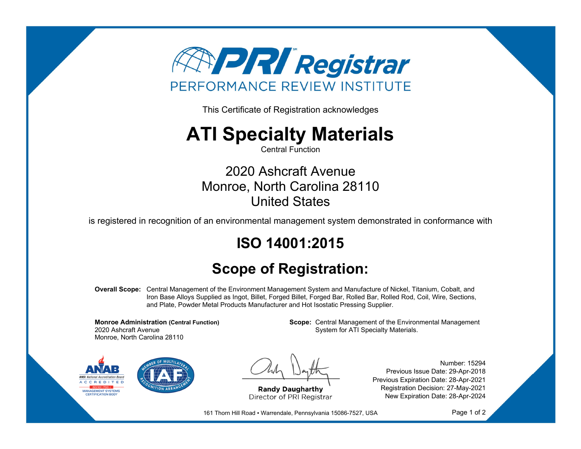

This Certificate of Registration acknowledges

## **ATI Specialty Materials**

Central Function

2020 Ashcraft Avenue Monroe, North Carolina 28110 United States

is registered in recognition of an environmental management system demonstrated in conformance with

## **ISO 14001:2015**

## **Scope of Registration:**

**Overall Scope:** Central Management of the Environment Management System and Manufacture of Nickel, Titanium, Cobalt, and Iron Base Alloys Supplied as Ingot, Billet, Forged Billet, Forged Bar, Rolled Bar, Rolled Rod, Coil, Wire, Sections, and Plate, Powder Metal Products Manufacturer and Hot Isostatic Pressing Supplier.

**Monroe Administration (Central Function)** 2020 Ashcraft Avenue Monroe, North Carolina 28110

**Scope:** Central Management of the Environmental Management System for ATI Specialty Materials.



**Randy Daugharthy** Director of PRI Registrar

Number: 15294 Previous Issue Date: 29-Apr-2018 Previous Expiration Date: 28-Apr-2021 Registration Decision: 27-May-2021 New Expiration Date: 28-Apr-2024

161 Thorn Hill Road · Warrendale, Pennsylvania 15086-7527, USA

Page 1 of 2